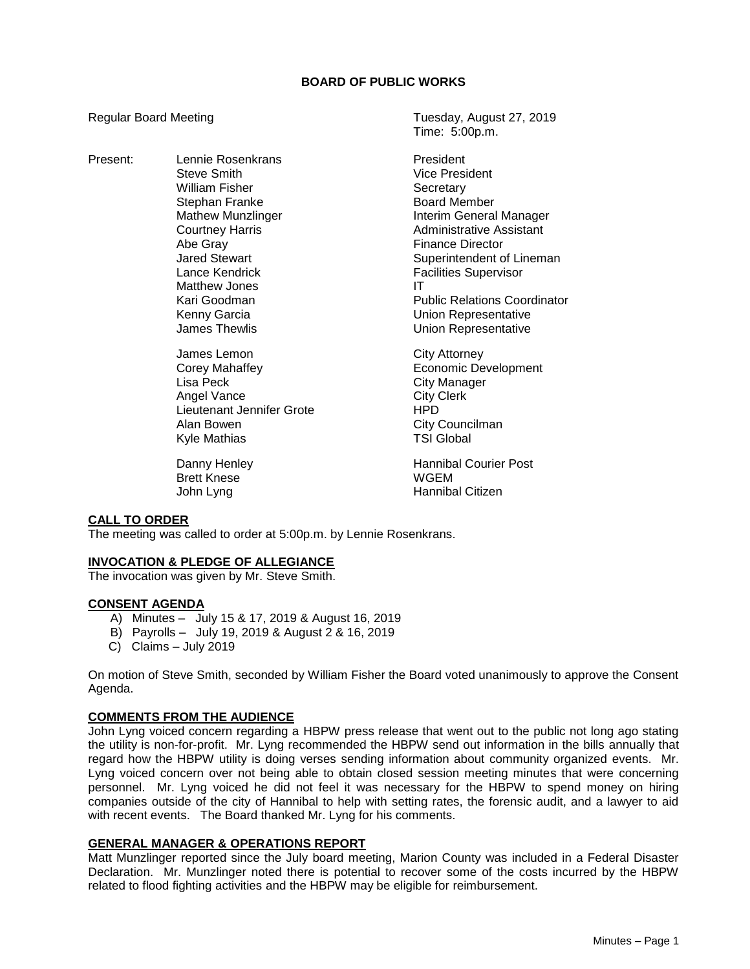Present: Lennie Rosenkrans President Steve Smith **Vice President** William Fisher **Secretary** Stephan Franke Board Member Abe Gray **Finance Director** Matthew Jones **IT** James Lemon City Attorney

Lisa Peck **City Manager** Angel Vance City Clerk Lieutenant Jennifer Grote HPD Alan Bowen **City Councilman**<br>
Kyle Mathias **Council Council External Council Council**<br>
City Council Council Council Council Council Council Council Council Council Council Council Council Council Council Council Council Co Kyle Mathias

**Brett Knese** 

Regular Board Meeting Tuesday, August 27, 2019 Time: 5:00p.m.

> Mathew Munzlinger **Interim General Manager** Courtney Harris **Administrative Assistant** Jared Stewart **Superintendent of Lineman** Lance Kendrick **Facilities** Supervisor Kari Goodman **Public Relations Coordinator** Public Relations Coordinator Kenny Garcia **Network** Union Representative James Thewlis **Vertal Communist Communist Communist Communist Communist Communist Communist Communist Communist Communist Communist Communist Communist Communist Communist Communist Communist Communist Communist Communist**

Corey Mahaffey **Example 20** Economic Development

Danny Henley **Hannibal Courier Post**<br> **Brett Knese** Hannibal Courier Post John Lyng **Hannibal Citizen** 

## **CALL TO ORDER**

The meeting was called to order at 5:00p.m. by Lennie Rosenkrans.

## **INVOCATION & PLEDGE OF ALLEGIANCE**

The invocation was given by Mr. Steve Smith.

## **CONSENT AGENDA**

- A) Minutes July 15 & 17, 2019 & August 16, 2019
- B) Payrolls July 19, 2019 & August 2 & 16, 2019
- C) Claims July 2019

On motion of Steve Smith, seconded by William Fisher the Board voted unanimously to approve the Consent Agenda.

## **COMMENTS FROM THE AUDIENCE**

John Lyng voiced concern regarding a HBPW press release that went out to the public not long ago stating the utility is non-for-profit. Mr. Lyng recommended the HBPW send out information in the bills annually that regard how the HBPW utility is doing verses sending information about community organized events. Mr. Lyng voiced concern over not being able to obtain closed session meeting minutes that were concerning personnel. Mr. Lyng voiced he did not feel it was necessary for the HBPW to spend money on hiring companies outside of the city of Hannibal to help with setting rates, the forensic audit, and a lawyer to aid with recent events. The Board thanked Mr. Lyng for his comments.

## **GENERAL MANAGER & OPERATIONS REPORT**

Matt Munzlinger reported since the July board meeting, Marion County was included in a Federal Disaster Declaration. Mr. Munzlinger noted there is potential to recover some of the costs incurred by the HBPW related to flood fighting activities and the HBPW may be eligible for reimbursement.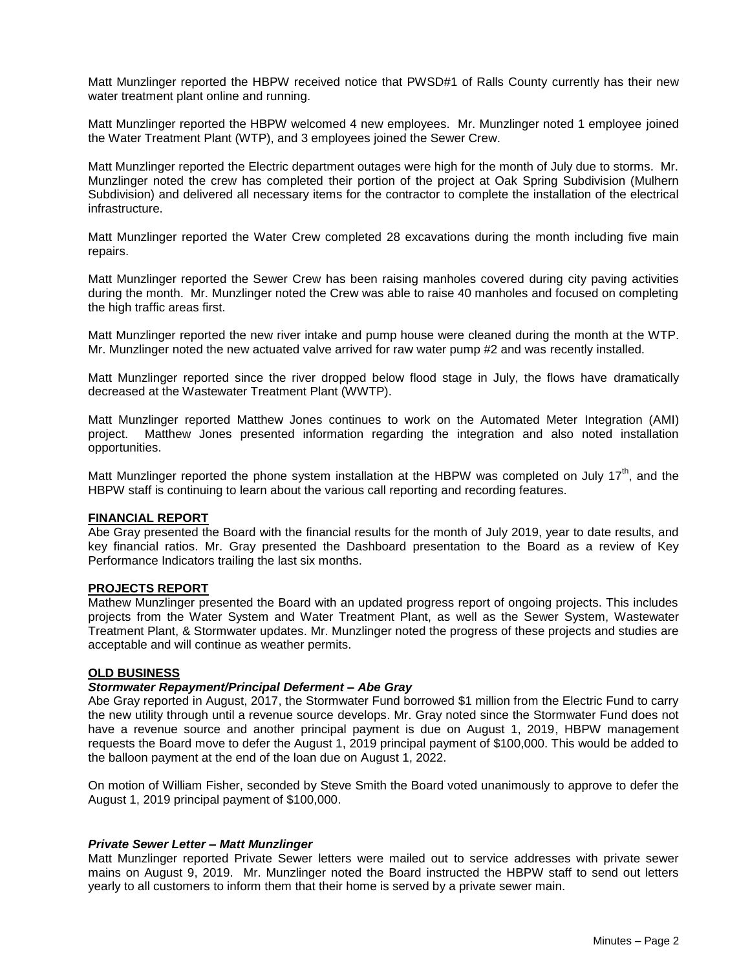Matt Munzlinger reported the HBPW received notice that PWSD#1 of Ralls County currently has their new water treatment plant online and running.

Matt Munzlinger reported the HBPW welcomed 4 new employees. Mr. Munzlinger noted 1 employee joined the Water Treatment Plant (WTP), and 3 employees joined the Sewer Crew.

Matt Munzlinger reported the Electric department outages were high for the month of July due to storms. Mr. Munzlinger noted the crew has completed their portion of the project at Oak Spring Subdivision (Mulhern Subdivision) and delivered all necessary items for the contractor to complete the installation of the electrical infrastructure.

Matt Munzlinger reported the Water Crew completed 28 excavations during the month including five main repairs.

Matt Munzlinger reported the Sewer Crew has been raising manholes covered during city paving activities during the month. Mr. Munzlinger noted the Crew was able to raise 40 manholes and focused on completing the high traffic areas first.

Matt Munzlinger reported the new river intake and pump house were cleaned during the month at the WTP. Mr. Munzlinger noted the new actuated valve arrived for raw water pump #2 and was recently installed.

Matt Munzlinger reported since the river dropped below flood stage in July, the flows have dramatically decreased at the Wastewater Treatment Plant (WWTP).

Matt Munzlinger reported Matthew Jones continues to work on the Automated Meter Integration (AMI) project. Matthew Jones presented information regarding the integration and also noted installation opportunities.

Matt Munzlinger reported the phone system installation at the HBPW was completed on July  $17<sup>th</sup>$ , and the HBPW staff is continuing to learn about the various call reporting and recording features.

#### **FINANCIAL REPORT**

Abe Gray presented the Board with the financial results for the month of July 2019, year to date results, and key financial ratios. Mr. Gray presented the Dashboard presentation to the Board as a review of Key Performance Indicators trailing the last six months.

## **PROJECTS REPORT**

Mathew Munzlinger presented the Board with an updated progress report of ongoing projects. This includes projects from the Water System and Water Treatment Plant, as well as the Sewer System, Wastewater Treatment Plant, & Stormwater updates. Mr. Munzlinger noted the progress of these projects and studies are acceptable and will continue as weather permits.

## **OLD BUSINESS**

#### *Stormwater Repayment/Principal Deferment – Abe Gray*

Abe Gray reported in August, 2017, the Stormwater Fund borrowed \$1 million from the Electric Fund to carry the new utility through until a revenue source develops. Mr. Gray noted since the Stormwater Fund does not have a revenue source and another principal payment is due on August 1, 2019, HBPW management requests the Board move to defer the August 1, 2019 principal payment of \$100,000. This would be added to the balloon payment at the end of the loan due on August 1, 2022.

On motion of William Fisher, seconded by Steve Smith the Board voted unanimously to approve to defer the August 1, 2019 principal payment of \$100,000.

#### *Private Sewer Letter – Matt Munzlinger*

Matt Munzlinger reported Private Sewer letters were mailed out to service addresses with private sewer mains on August 9, 2019. Mr. Munzlinger noted the Board instructed the HBPW staff to send out letters yearly to all customers to inform them that their home is served by a private sewer main.